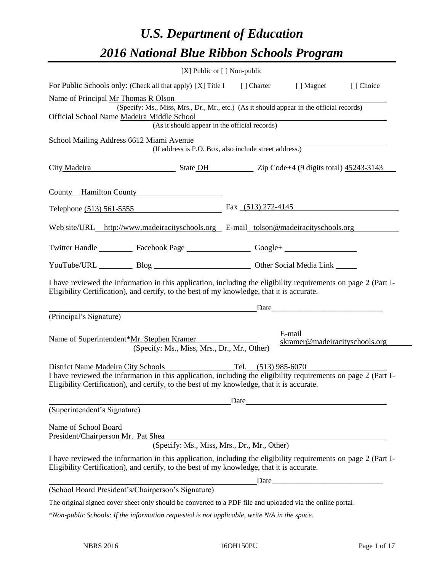# *U.S. Department of Education 2016 National Blue Ribbon Schools Program*

| [X] Public or [] Non-public                                                                                                                                                                                                                                                 |                      |                                          |           |
|-----------------------------------------------------------------------------------------------------------------------------------------------------------------------------------------------------------------------------------------------------------------------------|----------------------|------------------------------------------|-----------|
| For Public Schools only: (Check all that apply) [X] Title I [] Charter [] Magnet                                                                                                                                                                                            |                      |                                          | [] Choice |
| Name of Principal Mr Thomas R Olson<br>(Specify: Ms., Miss, Mrs., Dr., Mr., etc.) (As it should appear in the official records)<br>Official School Name Madeira Middle School<br>Villature School<br>(As it should appear in the official records)                          |                      |                                          |           |
| School Mailing Address 6612 Miami Avenue<br>(If address is P.O. Box, also include street address.)                                                                                                                                                                          |                      |                                          |           |
| City Madeira State OH State OH Zip Code+4 (9 digits total) 45243-3143                                                                                                                                                                                                       |                      |                                          |           |
| County Hamilton County                                                                                                                                                                                                                                                      |                      |                                          |           |
| Telephone (513) 561-5555                                                                                                                                                                                                                                                    | Fax $(513)$ 272-4145 |                                          |           |
| Web site/URL_http://www.madeiracityschools.org E-mail_tolson@madeiracityschools.org                                                                                                                                                                                         |                      |                                          |           |
| Twitter Handle ____________ Facebook Page ____________________ Google+ _____________________________                                                                                                                                                                        |                      |                                          |           |
| YouTube/URL Blog Blog Cher Social Media Link                                                                                                                                                                                                                                |                      |                                          |           |
| I have reviewed the information in this application, including the eligibility requirements on page 2 (Part I-<br>Eligibility Certification), and certify, to the best of my knowledge, that it is accurate.                                                                |                      | Date                                     |           |
| (Principal's Signature)                                                                                                                                                                                                                                                     |                      |                                          |           |
| Name of Superintendent*Mr. Stephen Kramer<br>(Specify: Ms., Miss, Mrs., Dr., Mr., Other)                                                                                                                                                                                    |                      | E-mail<br>skramer@madeiracityschools.org |           |
| District Name Madeira City Schools<br>Tel. $(513)$ 985-6070<br>I have reviewed the information in this application, including the eligibility requirements on page 2 (Part I-<br>Eligibility Certification), and certify, to the best of my knowledge, that it is accurate. |                      |                                          |           |
| (Superintendent's Signature)                                                                                                                                                                                                                                                | Date                 |                                          |           |
| Name of School Board<br>President/Chairperson Mr. Pat Shea<br>(Specify: Ms., Miss, Mrs., Dr., Mr., Other)                                                                                                                                                                   |                      |                                          |           |
| I have reviewed the information in this application, including the eligibility requirements on page 2 (Part I-<br>Eligibility Certification), and certify, to the best of my knowledge, that it is accurate.                                                                |                      |                                          |           |
|                                                                                                                                                                                                                                                                             | Date_                |                                          |           |
| (School Board President's/Chairperson's Signature)                                                                                                                                                                                                                          |                      |                                          |           |
| The original signed cover sheet only should be converted to a PDF file and uploaded via the online portal.                                                                                                                                                                  |                      |                                          |           |
| *Non-public Schools: If the information requested is not applicable, write N/A in the space.                                                                                                                                                                                |                      |                                          |           |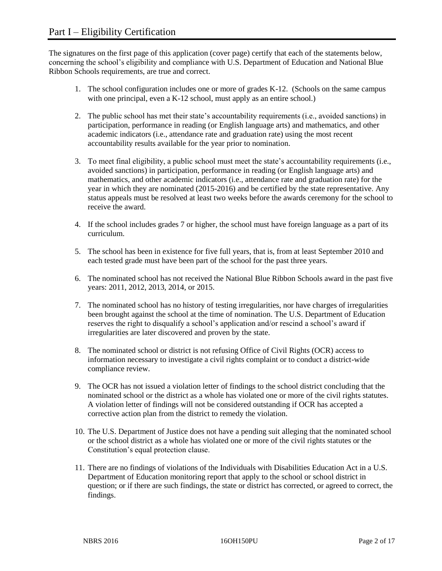The signatures on the first page of this application (cover page) certify that each of the statements below, concerning the school's eligibility and compliance with U.S. Department of Education and National Blue Ribbon Schools requirements, are true and correct.

- 1. The school configuration includes one or more of grades K-12. (Schools on the same campus with one principal, even a K-12 school, must apply as an entire school.)
- 2. The public school has met their state's accountability requirements (i.e., avoided sanctions) in participation, performance in reading (or English language arts) and mathematics, and other academic indicators (i.e., attendance rate and graduation rate) using the most recent accountability results available for the year prior to nomination.
- 3. To meet final eligibility, a public school must meet the state's accountability requirements (i.e., avoided sanctions) in participation, performance in reading (or English language arts) and mathematics, and other academic indicators (i.e., attendance rate and graduation rate) for the year in which they are nominated (2015-2016) and be certified by the state representative. Any status appeals must be resolved at least two weeks before the awards ceremony for the school to receive the award.
- 4. If the school includes grades 7 or higher, the school must have foreign language as a part of its curriculum.
- 5. The school has been in existence for five full years, that is, from at least September 2010 and each tested grade must have been part of the school for the past three years.
- 6. The nominated school has not received the National Blue Ribbon Schools award in the past five years: 2011, 2012, 2013, 2014, or 2015.
- 7. The nominated school has no history of testing irregularities, nor have charges of irregularities been brought against the school at the time of nomination. The U.S. Department of Education reserves the right to disqualify a school's application and/or rescind a school's award if irregularities are later discovered and proven by the state.
- 8. The nominated school or district is not refusing Office of Civil Rights (OCR) access to information necessary to investigate a civil rights complaint or to conduct a district-wide compliance review.
- 9. The OCR has not issued a violation letter of findings to the school district concluding that the nominated school or the district as a whole has violated one or more of the civil rights statutes. A violation letter of findings will not be considered outstanding if OCR has accepted a corrective action plan from the district to remedy the violation.
- 10. The U.S. Department of Justice does not have a pending suit alleging that the nominated school or the school district as a whole has violated one or more of the civil rights statutes or the Constitution's equal protection clause.
- 11. There are no findings of violations of the Individuals with Disabilities Education Act in a U.S. Department of Education monitoring report that apply to the school or school district in question; or if there are such findings, the state or district has corrected, or agreed to correct, the findings.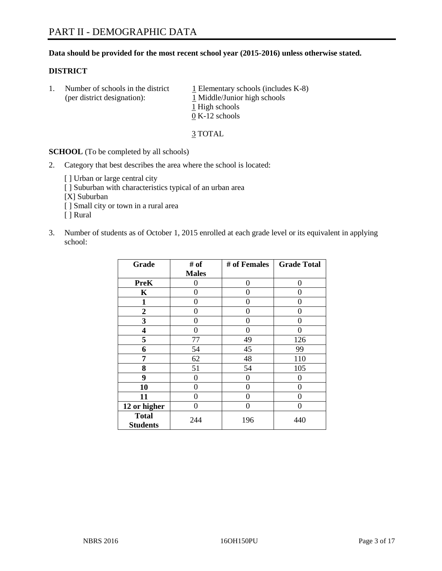# **Data should be provided for the most recent school year (2015-2016) unless otherwise stated.**

# **DISTRICT**

1. Number of schools in the district  $1$  Elementary schools (includes K-8) (per district designation):  $\frac{1 \text{ Middle/Junior high schools}}{}$ 1 High schools 0 K-12 schools

3 TOTAL

**SCHOOL** (To be completed by all schools)

- 2. Category that best describes the area where the school is located:
	- [] Urban or large central city [ ] Suburban with characteristics typical of an urban area [X] Suburban [ ] Small city or town in a rural area [ ] Rural
- 3. Number of students as of October 1, 2015 enrolled at each grade level or its equivalent in applying school:

| Grade                           | # of         | # of Females | <b>Grade Total</b> |
|---------------------------------|--------------|--------------|--------------------|
|                                 | <b>Males</b> |              |                    |
| <b>PreK</b>                     | 0            | 0            | 0                  |
| $\mathbf K$                     | 0            | 0            | $\Omega$           |
| $\mathbf{1}$                    | 0            | 0            | $\Omega$           |
| $\boldsymbol{2}$                | 0            | 0            | 0                  |
| 3                               | 0            | 0            | 0                  |
| 4                               | 0            | 0            | $\Omega$           |
| 5                               | 77           | 49           | 126                |
| 6                               | 54           | 45           | 99                 |
| 7                               | 62           | 48           | 110                |
| 8                               | 51           | 54           | 105                |
| 9                               | 0            | 0            | 0                  |
| 10                              | 0            | 0            | 0                  |
| 11                              | 0            | 0            | 0                  |
| 12 or higher                    | 0            | 0            | $\Omega$           |
| <b>Total</b><br><b>Students</b> | 244          | 196          | 440                |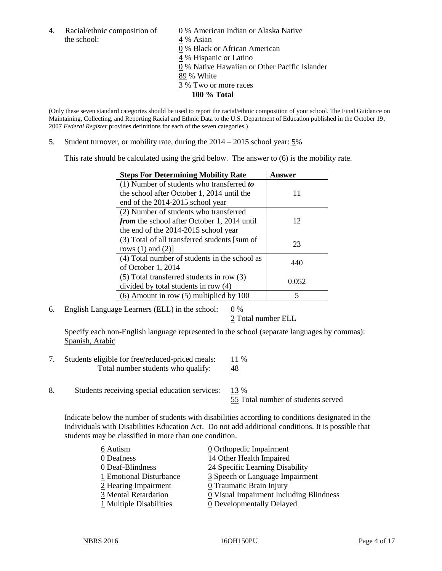4. Racial/ethnic composition of  $\underline{0}$  % American Indian or Alaska Native the school: 4 % Asian

 % Black or African American % Hispanic or Latino % Native Hawaiian or Other Pacific Islander 89 % White % Two or more races **100 % Total**

(Only these seven standard categories should be used to report the racial/ethnic composition of your school. The Final Guidance on Maintaining, Collecting, and Reporting Racial and Ethnic Data to the U.S. Department of Education published in the October 19, 2007 *Federal Register* provides definitions for each of the seven categories.)

5. Student turnover, or mobility rate, during the 2014 – 2015 school year: 5%

This rate should be calculated using the grid below. The answer to (6) is the mobility rate.

| <b>Steps For Determining Mobility Rate</b>         | Answer |  |
|----------------------------------------------------|--------|--|
| $(1)$ Number of students who transferred to        |        |  |
| the school after October 1, 2014 until the         | 11     |  |
| end of the 2014-2015 school year                   |        |  |
| (2) Number of students who transferred             |        |  |
| <i>from</i> the school after October 1, 2014 until | 12     |  |
| the end of the 2014-2015 school year               |        |  |
| (3) Total of all transferred students [sum of      | 23     |  |
| rows $(1)$ and $(2)$ ]                             |        |  |
| (4) Total number of students in the school as      | 440    |  |
| of October 1, 2014                                 |        |  |
| (5) Total transferred students in row (3)          | 0.052  |  |
| divided by total students in row (4)               |        |  |
| $(6)$ Amount in row $(5)$ multiplied by 100        |        |  |

6. English Language Learners (ELL) in the school:  $0\%$ 

2 Total number ELL

Specify each non-English language represented in the school (separate languages by commas): Spanish, Arabic

- 7. Students eligible for free/reduced-priced meals: 11 % Total number students who qualify:  $\frac{48}{9}$
- 8. Students receiving special education services: 13 %

55 Total number of students served

Indicate below the number of students with disabilities according to conditions designated in the Individuals with Disabilities Education Act. Do not add additional conditions. It is possible that students may be classified in more than one condition.

| 6 Autism                | $\underline{0}$ Orthopedic Impairment   |
|-------------------------|-----------------------------------------|
| 0 Deafness              | 14 Other Health Impaired                |
| 0 Deaf-Blindness        | 24 Specific Learning Disability         |
| 1 Emotional Disturbance | 3 Speech or Language Impairment         |
| 2 Hearing Impairment    | 0 Traumatic Brain Injury                |
| 3 Mental Retardation    | 0 Visual Impairment Including Blindness |
| 1 Multiple Disabilities | <b>0</b> Developmentally Delayed        |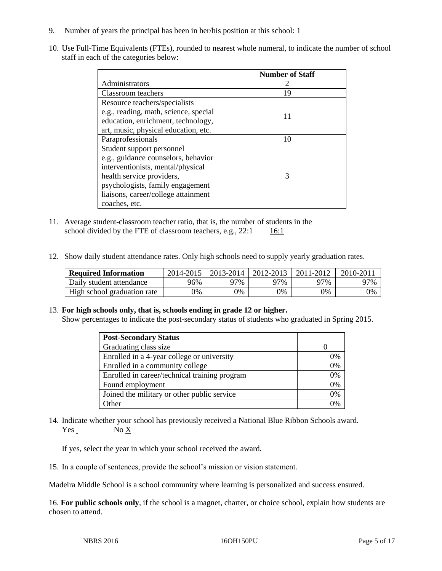- 9. Number of years the principal has been in her/his position at this school:  $1$
- 10. Use Full-Time Equivalents (FTEs), rounded to nearest whole numeral, to indicate the number of school staff in each of the categories below:

|                                       | <b>Number of Staff</b> |
|---------------------------------------|------------------------|
| Administrators                        |                        |
| Classroom teachers                    | 19                     |
| Resource teachers/specialists         |                        |
| e.g., reading, math, science, special | 11                     |
| education, enrichment, technology,    |                        |
| art, music, physical education, etc.  |                        |
| Paraprofessionals                     | 10                     |
| Student support personnel             |                        |
| e.g., guidance counselors, behavior   |                        |
| interventionists, mental/physical     |                        |
| health service providers,             | 3                      |
| psychologists, family engagement      |                        |
| liaisons, career/college attainment   |                        |
| coaches, etc.                         |                        |

- 11. Average student-classroom teacher ratio, that is, the number of students in the school divided by the FTE of classroom teachers, e.g.,  $22:1$  16:1
- 12. Show daily student attendance rates. Only high schools need to supply yearly graduation rates.

| <b>Required Information</b> | 2014-2015 | 2013-2014  | 2012-2013 | 2011-2012 | $2010 - 201$ |
|-----------------------------|-----------|------------|-----------|-----------|--------------|
| Daily student attendance    | 96%       | 97%        | 97%       | 97%       | 97%          |
| High school graduation rate | 0%        | $\gamma\%$ | 0%        | 9%        | 0%           |

# 13. **For high schools only, that is, schools ending in grade 12 or higher.**

Show percentages to indicate the post-secondary status of students who graduated in Spring 2015.

| <b>Post-Secondary Status</b>                  |                |
|-----------------------------------------------|----------------|
| Graduating class size                         |                |
| Enrolled in a 4-year college or university    | 0%             |
| Enrolled in a community college               | 0%             |
| Enrolled in career/technical training program | 0%             |
| Found employment                              | 0%             |
| Joined the military or other public service   | 0%             |
| Other                                         | $\frac{10}{6}$ |

14. Indicate whether your school has previously received a National Blue Ribbon Schools award. Yes No X

If yes, select the year in which your school received the award.

15. In a couple of sentences, provide the school's mission or vision statement.

Madeira Middle School is a school community where learning is personalized and success ensured.

16. **For public schools only**, if the school is a magnet, charter, or choice school, explain how students are chosen to attend.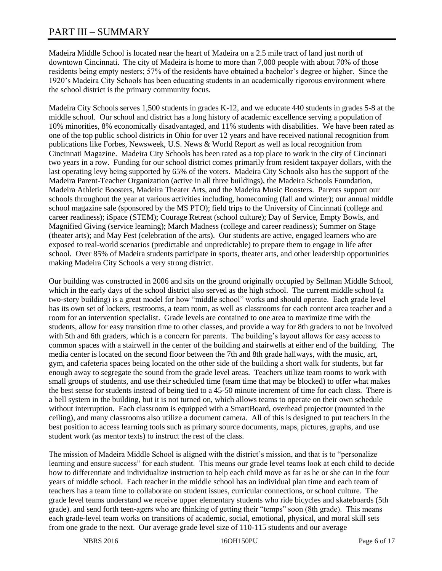# PART III – SUMMARY

Madeira Middle School is located near the heart of Madeira on a 2.5 mile tract of land just north of downtown Cincinnati. The city of Madeira is home to more than 7,000 people with about 70% of those residents being empty nesters; 57% of the residents have obtained a bachelor's degree or higher. Since the 1920's Madeira City Schools has been educating students in an academically rigorous environment where the school district is the primary community focus.

Madeira City Schools serves 1,500 students in grades K-12, and we educate 440 students in grades 5-8 at the middle school. Our school and district has a long history of academic excellence serving a population of 10% minorities, 8% economically disadvantaged, and 11% students with disabilities. We have been rated as one of the top public school districts in Ohio for over 12 years and have received national recognition from publications like Forbes, Newsweek, U.S. News & World Report as well as local recognition from Cincinnati Magazine. Madeira City Schools has been rated as a top place to work in the city of Cincinnati two years in a row. Funding for our school district comes primarily from resident taxpayer dollars, with the last operating levy being supported by 65% of the voters. Madeira City Schools also has the support of the Madeira Parent-Teacher Organization (active in all three buildings), the Madeira Schools Foundation, Madeira Athletic Boosters, Madeira Theater Arts, and the Madeira Music Boosters. Parents support our schools throughout the year at various activities including, homecoming (fall and winter); our annual middle school magazine sale (sponsored by the MS PTO); field trips to the University of Cincinnati (college and career readiness); iSpace (STEM); Courage Retreat (school culture); Day of Service, Empty Bowls, and Magnified Giving (service learning); March Madness (college and career readiness); Summer on Stage (theater arts); and May Fest (celebration of the arts). Our students are active, engaged learners who are exposed to real-world scenarios (predictable and unpredictable) to prepare them to engage in life after school. Over 85% of Madeira students participate in sports, theater arts, and other leadership opportunities making Madeira City Schools a very strong district.

Our building was constructed in 2006 and sits on the ground originally occupied by Sellman Middle School, which in the early days of the school district also served as the high school. The current middle school (a two-story building) is a great model for how "middle school" works and should operate. Each grade level has its own set of lockers, restrooms, a team room, as well as classrooms for each content area teacher and a room for an intervention specialist. Grade levels are contained to one area to maximize time with the students, allow for easy transition time to other classes, and provide a way for 8th graders to not be involved with 5th and 6th graders, which is a concern for parents. The building's layout allows for easy access to common spaces with a stairwell in the center of the building and stairwells at either end of the building. The media center is located on the second floor between the 7th and 8th grade hallways, with the music, art, gym, and cafeteria spaces being located on the other side of the building a short walk for students, but far enough away to segregate the sound from the grade level areas. Teachers utilize team rooms to work with small groups of students, and use their scheduled time (team time that may be blocked) to offer what makes the best sense for students instead of being tied to a 45-50 minute increment of time for each class. There is a bell system in the building, but it is not turned on, which allows teams to operate on their own schedule without interruption. Each classroom is equipped with a SmartBoard, overhead projector (mounted in the ceiling), and many classrooms also utilize a document camera. All of this is designed to put teachers in the best position to access learning tools such as primary source documents, maps, pictures, graphs, and use student work (as mentor texts) to instruct the rest of the class.

The mission of Madeira Middle School is aligned with the district's mission, and that is to "personalize learning and ensure success" for each student. This means our grade level teams look at each child to decide how to differentiate and individualize instruction to help each child move as far as he or she can in the four years of middle school. Each teacher in the middle school has an individual plan time and each team of teachers has a team time to collaborate on student issues, curricular connections, or school culture. The grade level teams understand we receive upper elementary students who ride bicycles and skateboards (5th grade). and send forth teen-agers who are thinking of getting their "temps" soon (8th grade). This means each grade-level team works on transitions of academic, social, emotional, physical, and moral skill sets from one grade to the next. Our average grade level size of 110-115 students and our average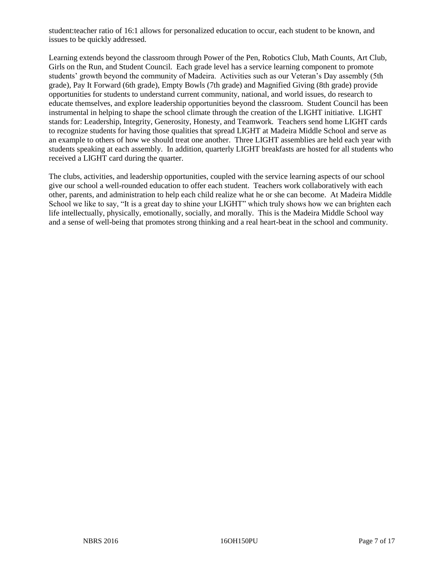student:teacher ratio of 16:1 allows for personalized education to occur, each student to be known, and issues to be quickly addressed.

Learning extends beyond the classroom through Power of the Pen, Robotics Club, Math Counts, Art Club, Girls on the Run, and Student Council. Each grade level has a service learning component to promote students' growth beyond the community of Madeira. Activities such as our Veteran's Day assembly (5th grade), Pay It Forward (6th grade), Empty Bowls (7th grade) and Magnified Giving (8th grade) provide opportunities for students to understand current community, national, and world issues, do research to educate themselves, and explore leadership opportunities beyond the classroom. Student Council has been instrumental in helping to shape the school climate through the creation of the LIGHT initiative. LIGHT stands for: Leadership, Integrity, Generosity, Honesty, and Teamwork. Teachers send home LIGHT cards to recognize students for having those qualities that spread LIGHT at Madeira Middle School and serve as an example to others of how we should treat one another. Three LIGHT assemblies are held each year with students speaking at each assembly. In addition, quarterly LIGHT breakfasts are hosted for all students who received a LIGHT card during the quarter.

The clubs, activities, and leadership opportunities, coupled with the service learning aspects of our school give our school a well-rounded education to offer each student. Teachers work collaboratively with each other, parents, and administration to help each child realize what he or she can become. At Madeira Middle School we like to say, "It is a great day to shine your LIGHT" which truly shows how we can brighten each life intellectually, physically, emotionally, socially, and morally. This is the Madeira Middle School way and a sense of well-being that promotes strong thinking and a real heart-beat in the school and community.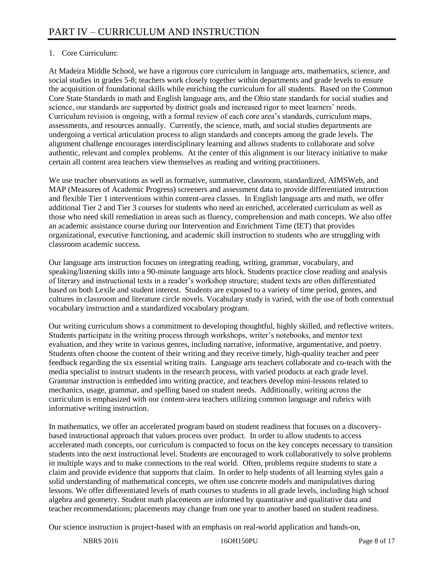# 1. Core Curriculum:

At Madeira Middle School, we have a rigorous core curriculum in language arts, mathematics, science, and social studies in grades 5-8; teachers work closely together within departments and grade levels to ensure the acquisition of foundational skills while enriching the curriculum for all students. Based on the Common Core State Standards in math and English language arts, and the Ohio state standards for social studies and science, our standards are supported by district goals and increased rigor to meet learners' needs. Curriculum revision is ongoing, with a formal review of each core area's standards, curriculum maps, assessments, and resources annually. Currently, the science, math, and social studies departments are undergoing a vertical articulation process to align standards and concepts among the grade levels. The alignment challenge encourages interdisciplinary learning and allows students to collaborate and solve authentic, relevant and complex problems. At the center of this alignment is our literacy initiative to make certain all content area teachers view themselves as reading and writing practitioners.

We use teacher observations as well as formative, summative, classroom, standardized, AIMSWeb, and MAP (Measures of Academic Progress) screeners and assessment data to provide differentiated instruction and flexible Tier 1 interventions within content-area classes. In English language arts and math, we offer additional Tier 2 and Tier 3 courses for students who need an enriched, accelerated curriculum as well as those who need skill remediation in areas such as fluency, comprehension and math concepts. We also offer an academic assistance course during our Intervention and Enrichment Time (IET) that provides organizational, executive functioning, and academic skill instruction to students who are struggling with classroom academic success.

Our language arts instruction focuses on integrating reading, writing, grammar, vocabulary, and speaking/listening skills into a 90-minute language arts block. Students practice close reading and analysis of literary and instructional texts in a reader's workshop structure; student texts are often differentiated based on both Lexile and student interest. Students are exposed to a variety of time period, genres, and cultures in classroom and literature circle novels. Vocabulary study is varied, with the use of both contextual vocabulary instruction and a standardized vocabulary program.

Our writing curriculum shows a commitment to developing thoughtful, highly skilled, and reflective writers. Students participate in the writing process through workshops, writer's notebooks, and mentor text evaluation, and they write in various genres, including narrative, informative, argumentative, and poetry. Students often choose the content of their writing and they receive timely, high-quality teacher and peer feedback regarding the six essential writing traits. Language arts teachers collaborate and co-teach with the media specialist to instruct students in the research process, with varied products at each grade level. Grammar instruction is embedded into writing practice, and teachers develop mini-lessons related to mechanics, usage, grammar, and spelling based on student needs. Additionally, writing across the curriculum is emphasized with our content-area teachers utilizing common language and rubrics with informative writing instruction.

In mathematics, we offer an accelerated program based on student readiness that focuses on a discoverybased instructional approach that values process over product. In order to allow students to access accelerated math concepts, our curriculum is compacted to focus on the key concepts necessary to transition students into the next instructional level. Students are encouraged to work collaboratively to solve problems in multiple ways and to make connections to the real world. Often, problems require students to state a claim and provide evidence that supports that claim. In order to help students of all learning styles gain a solid understanding of mathematical concepts, we often use concrete models and manipulatives during lessons. We offer differentiated levels of math courses to students in all grade levels, including high school algebra and geometry. Student math placements are informed by quantitative and qualitative data and teacher recommendations; placements may change from one year to another based on student readiness.

Our science instruction is project-based with an emphasis on real-world application and hands-on,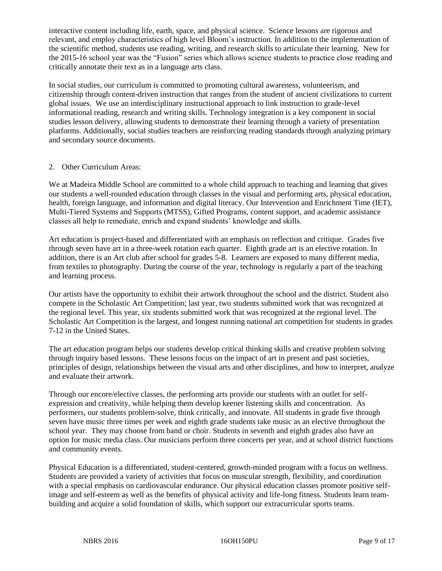interactive content including life, earth, space, and physical science. Science lessons are rigorous and relevant, and employ characteristics of high level Bloom's instruction. In addition to the implementation of the scientific method, students use reading, writing, and research skills to articulate their learning. New for the 2015-16 school year was the "Fusion" series which allows science students to practice close reading and critically annotate their text as in a language arts class.

In social studies, our curriculum is committed to promoting cultural awareness, volunteerism, and citizenship through content-driven instruction that ranges from the student of ancient civilizations to current global issues. We use an interdisciplinary instructional approach to link instruction to grade-level informational reading, research and writing skills. Technology integration is a key component in social studies lesson delivery, allowing students to demonstrate their learning through a variety of presentation platforms. Additionally, social studies teachers are reinforcing reading standards through analyzing primary and secondary source documents.

# 2. Other Curriculum Areas:

We at Madeira Middle School are committed to a whole child approach to teaching and learning that gives our students a well-rounded education through classes in the visual and performing arts, physical education, health, foreign language, and information and digital literacy. Our Intervention and Enrichment Time (IET), Multi-Tiered Systems and Supports (MTSS), Gifted Programs, content support, and academic assistance classes all help to remediate, enrich and expand students' knowledge and skills.

Art education is project-based and differentiated with an emphasis on reflection and critique. Grades five through seven have art in a three-week rotation each quarter. Eighth grade art is an elective rotation. In addition, there is an Art club after school for grades 5-8. Learners are exposed to many different media, from textiles to photography. During the course of the year, technology is regularly a part of the teaching and learning process.

Our artists have the opportunity to exhibit their artwork throughout the school and the district. Student also compete in the Scholastic Art Competition; last year, two students submitted work that was recognized at the regional level. This year, six students submitted work that was recognized at the regional level. The Scholastic Art Competition is the largest, and longest running national art competition for students in grades 7-12 in the United States.

The art education program helps our students develop critical thinking skills and creative problem solving through inquiry based lessons. These lessons focus on the impact of art in present and past societies, principles of design, relationships between the visual arts and other disciplines, and how to interpret, analyze and evaluate their artwork.

Through our encore/elective classes, the performing arts provide our students with an outlet for selfexpression and creativity, while helping them develop keener listening skills and concentration. As performers, our students problem-solve, think critically, and innovate. All students in grade five through seven have music three times per week and eighth grade students take music as an elective throughout the school year. They may choose from band or choir. Students in seventh and eighth grades also have an option for music media class. Our musicians perform three concerts per year, and at school district functions and community events.

Physical Education is a differentiated, student-centered, growth-minded program with a focus on wellness. Students are provided a variety of activities that focus on muscular strength, flexibility, and coordination with a special emphasis on cardiovascular endurance. Our physical education classes promote positive selfimage and self-esteem as well as the benefits of physical activity and life-long fitness. Students learn teambuilding and acquire a solid foundation of skills, which support our extracurricular sports teams.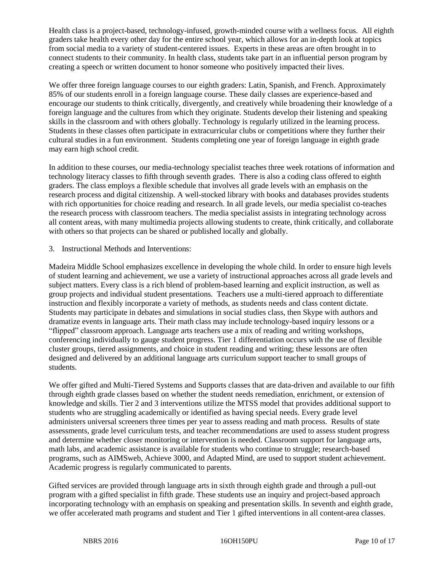Health class is a project-based, technology-infused, growth-minded course with a wellness focus. All eighth graders take health every other day for the entire school year, which allows for an in-depth look at topics from social media to a variety of student-centered issues. Experts in these areas are often brought in to connect students to their community. In health class, students take part in an influential person program by creating a speech or written document to honor someone who positively impacted their lives.

We offer three foreign language courses to our eighth graders: Latin, Spanish, and French. Approximately 85% of our students enroll in a foreign language course. These daily classes are experience-based and encourage our students to think critically, divergently, and creatively while broadening their knowledge of a foreign language and the cultures from which they originate. Students develop their listening and speaking skills in the classroom and with others globally. Technology is regularly utilized in the learning process. Students in these classes often participate in extracurricular clubs or competitions where they further their cultural studies in a fun environment. Students completing one year of foreign language in eighth grade may earn high school credit.

In addition to these courses, our media-technology specialist teaches three week rotations of information and technology literacy classes to fifth through seventh grades. There is also a coding class offered to eighth graders. The class employs a flexible schedule that involves all grade levels with an emphasis on the research process and digital citizenship. A well-stocked library with books and databases provides students with rich opportunities for choice reading and research. In all grade levels, our media specialist co-teaches the research process with classroom teachers. The media specialist assists in integrating technology across all content areas, with many multimedia projects allowing students to create, think critically, and collaborate with others so that projects can be shared or published locally and globally.

3. Instructional Methods and Interventions:

Madeira Middle School emphasizes excellence in developing the whole child. In order to ensure high levels of student learning and achievement, we use a variety of instructional approaches across all grade levels and subject matters. Every class is a rich blend of problem-based learning and explicit instruction, as well as group projects and individual student presentations. Teachers use a multi-tiered approach to differentiate instruction and flexibly incorporate a variety of methods, as students needs and class content dictate. Students may participate in debates and simulations in social studies class, then Skype with authors and dramatize events in language arts. Their math class may include technology-based inquiry lessons or a "flipped" classroom approach. Language arts teachers use a mix of reading and writing workshops, conferencing individually to gauge student progress. Tier 1 differentiation occurs with the use of flexible cluster groups, tiered assignments, and choice in student reading and writing; these lessons are often designed and delivered by an additional language arts curriculum support teacher to small groups of students.

We offer gifted and Multi-Tiered Systems and Supports classes that are data-driven and available to our fifth through eighth grade classes based on whether the student needs remediation, enrichment, or extension of knowledge and skills. Tier 2 and 3 interventions utilize the MTSS model that provides additional support to students who are struggling academically or identified as having special needs. Every grade level administers universal screeners three times per year to assess reading and math process. Results of state assessments, grade level curriculum tests, and teacher recommendations are used to assess student progress and determine whether closer monitoring or intervention is needed. Classroom support for language arts, math labs, and academic assistance is available for students who continue to struggle; research-based programs, such as AIMSweb, Achieve 3000, and Adapted Mind, are used to support student achievement. Academic progress is regularly communicated to parents.

Gifted services are provided through language arts in sixth through eighth grade and through a pull-out program with a gifted specialist in fifth grade. These students use an inquiry and project-based approach incorporating technology with an emphasis on speaking and presentation skills. In seventh and eighth grade, we offer accelerated math programs and student and Tier 1 gifted interventions in all content-area classes.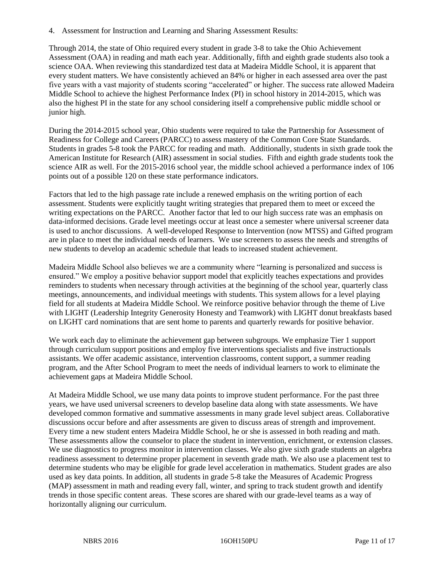4. Assessment for Instruction and Learning and Sharing Assessment Results:

Through 2014, the state of Ohio required every student in grade 3-8 to take the Ohio Achievement Assessment (OAA) in reading and math each year. Additionally, fifth and eighth grade students also took a science OAA. When reviewing this standardized test data at Madeira Middle School, it is apparent that every student matters. We have consistently achieved an 84% or higher in each assessed area over the past five years with a vast majority of students scoring "accelerated" or higher. The success rate allowed Madeira Middle School to achieve the highest Performance Index (PI) in school history in 2014-2015, which was also the highest PI in the state for any school considering itself a comprehensive public middle school or junior high.

During the 2014-2015 school year, Ohio students were required to take the Partnership for Assessment of Readiness for College and Careers (PARCC) to assess mastery of the Common Core State Standards. Students in grades 5-8 took the PARCC for reading and math. Additionally, students in sixth grade took the American Institute for Research (AIR) assessment in social studies. Fifth and eighth grade students took the science AIR as well. For the 2015-2016 school year, the middle school achieved a performance index of 106 points out of a possible 120 on these state performance indicators.

Factors that led to the high passage rate include a renewed emphasis on the writing portion of each assessment. Students were explicitly taught writing strategies that prepared them to meet or exceed the writing expectations on the PARCC. Another factor that led to our high success rate was an emphasis on data-informed decisions. Grade level meetings occur at least once a semester where universal screener data is used to anchor discussions. A well-developed Response to Intervention (now MTSS) and Gifted program are in place to meet the individual needs of learners. We use screeners to assess the needs and strengths of new students to develop an academic schedule that leads to increased student achievement.

Madeira Middle School also believes we are a community where "learning is personalized and success is ensured." We employ a positive behavior support model that explicitly teaches expectations and provides reminders to students when necessary through activities at the beginning of the school year, quarterly class meetings, announcements, and individual meetings with students. This system allows for a level playing field for all students at Madeira Middle School. We reinforce positive behavior through the theme of Live with LIGHT (Leadership Integrity Generosity Honesty and Teamwork) with LIGHT donut breakfasts based on LIGHT card nominations that are sent home to parents and quarterly rewards for positive behavior.

We work each day to eliminate the achievement gap between subgroups. We emphasize Tier 1 support through curriculum support positions and employ five interventions specialists and five instructionals assistants. We offer academic assistance, intervention classrooms, content support, a summer reading program, and the After School Program to meet the needs of individual learners to work to eliminate the achievement gaps at Madeira Middle School.

At Madeira Middle School, we use many data points to improve student performance. For the past three years, we have used universal screeners to develop baseline data along with state assessments. We have developed common formative and summative assessments in many grade level subject areas. Collaborative discussions occur before and after assessments are given to discuss areas of strength and improvement. Every time a new student enters Madeira Middle School, he or she is assessed in both reading and math. These assessments allow the counselor to place the student in intervention, enrichment, or extension classes. We use diagnostics to progress monitor in intervention classes. We also give sixth grade students an algebra readiness assessment to determine proper placement in seventh grade math. We also use a placement test to determine students who may be eligible for grade level acceleration in mathematics. Student grades are also used as key data points. In addition, all students in grade 5-8 take the Measures of Academic Progress (MAP) assessment in math and reading every fall, winter, and spring to track student growth and identify trends in those specific content areas. These scores are shared with our grade-level teams as a way of horizontally aligning our curriculum.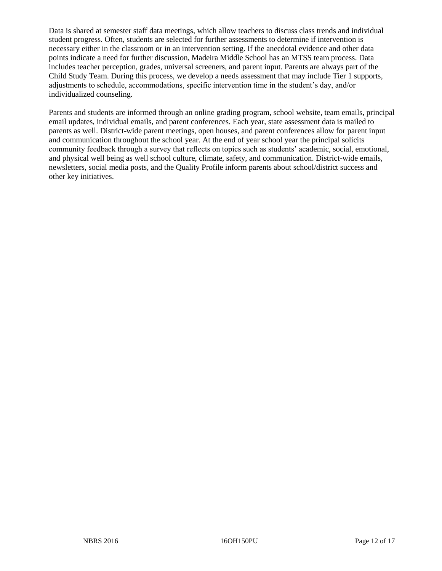Data is shared at semester staff data meetings, which allow teachers to discuss class trends and individual student progress. Often, students are selected for further assessments to determine if intervention is necessary either in the classroom or in an intervention setting. If the anecdotal evidence and other data points indicate a need for further discussion, Madeira Middle School has an MTSS team process. Data includes teacher perception, grades, universal screeners, and parent input. Parents are always part of the Child Study Team. During this process, we develop a needs assessment that may include Tier 1 supports, adjustments to schedule, accommodations, specific intervention time in the student's day, and/or individualized counseling.

Parents and students are informed through an online grading program, school website, team emails, principal email updates, individual emails, and parent conferences. Each year, state assessment data is mailed to parents as well. District-wide parent meetings, open houses, and parent conferences allow for parent input and communication throughout the school year. At the end of year school year the principal solicits community feedback through a survey that reflects on topics such as students' academic, social, emotional, and physical well being as well school culture, climate, safety, and communication. District-wide emails, newsletters, social media posts, and the Quality Profile inform parents about school/district success and other key initiatives.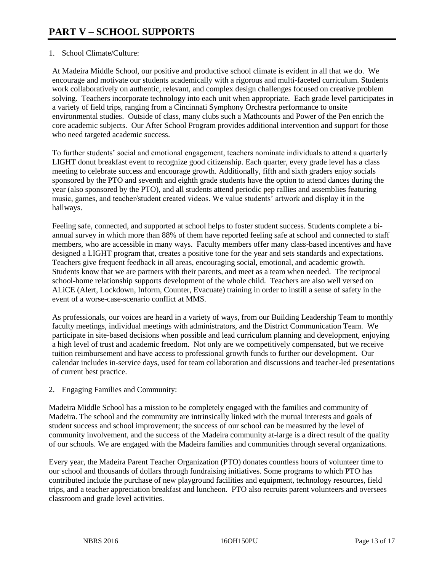# 1. School Climate/Culture:

At Madeira Middle School, our positive and productive school climate is evident in all that we do. We encourage and motivate our students academically with a rigorous and multi-faceted curriculum. Students work collaboratively on authentic, relevant, and complex design challenges focused on creative problem solving. Teachers incorporate technology into each unit when appropriate. Each grade level participates in a variety of field trips, ranging from a Cincinnati Symphony Orchestra performance to onsite environmental studies. Outside of class, many clubs such a Mathcounts and Power of the Pen enrich the core academic subjects. Our After School Program provides additional intervention and support for those who need targeted academic success.

To further students' social and emotional engagement, teachers nominate individuals to attend a quarterly LIGHT donut breakfast event to recognize good citizenship. Each quarter, every grade level has a class meeting to celebrate success and encourage growth. Additionally, fifth and sixth graders enjoy socials sponsored by the PTO and seventh and eighth grade students have the option to attend dances during the year (also sponsored by the PTO), and all students attend periodic pep rallies and assemblies featuring music, games, and teacher/student created videos. We value students' artwork and display it in the hallways.

Feeling safe, connected, and supported at school helps to foster student success. Students complete a biannual survey in which more than 88% of them have reported feeling safe at school and connected to staff members, who are accessible in many ways. Faculty members offer many class-based incentives and have designed a LIGHT program that, creates a positive tone for the year and sets standards and expectations. Teachers give frequent feedback in all areas, encouraging social, emotional, and academic growth. Students know that we are partners with their parents, and meet as a team when needed. The reciprocal school-home relationship supports development of the whole child. Teachers are also well versed on ALiCE (Alert, Lockdown, Inform, Counter, Evacuate) training in order to instill a sense of safety in the event of a worse-case-scenario conflict at MMS.

As professionals, our voices are heard in a variety of ways, from our Building Leadership Team to monthly faculty meetings, individual meetings with administrators, and the District Communication Team. We participate in site-based decisions when possible and lead curriculum planning and development, enjoying a high level of trust and academic freedom. Not only are we competitively compensated, but we receive tuition reimbursement and have access to professional growth funds to further our development. Our calendar includes in-service days, used for team collaboration and discussions and teacher-led presentations of current best practice.

2. Engaging Families and Community:

Madeira Middle School has a mission to be completely engaged with the families and community of Madeira. The school and the community are intrinsically linked with the mutual interests and goals of student success and school improvement; the success of our school can be measured by the level of community involvement, and the success of the Madeira community at-large is a direct result of the quality of our schools. We are engaged with the Madeira families and communities through several organizations.

Every year, the Madeira Parent Teacher Organization (PTO) donates countless hours of volunteer time to our school and thousands of dollars through fundraising initiatives. Some programs to which PTO has contributed include the purchase of new playground facilities and equipment, technology resources, field trips, and a teacher appreciation breakfast and luncheon. PTO also recruits parent volunteers and oversees classroom and grade level activities.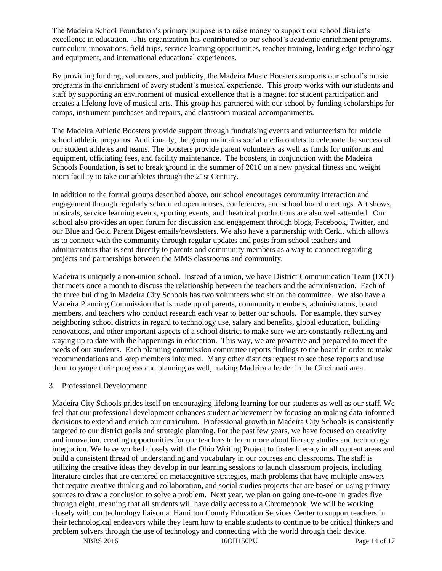The Madeira School Foundation's primary purpose is to raise money to support our school district's excellence in education. This organization has contributed to our school's academic enrichment programs, curriculum innovations, field trips, service learning opportunities, teacher training, leading edge technology and equipment, and international educational experiences.

By providing funding, volunteers, and publicity, the Madeira Music Boosters supports our school's music programs in the enrichment of every student's musical experience. This group works with our students and staff by supporting an environment of musical excellence that is a magnet for student participation and creates a lifelong love of musical arts. This group has partnered with our school by funding scholarships for camps, instrument purchases and repairs, and classroom musical accompaniments.

The Madeira Athletic Boosters provide support through fundraising events and volunteerism for middle school athletic programs. Additionally, the group maintains social media outlets to celebrate the success of our student athletes and teams. The boosters provide parent volunteers as well as funds for uniforms and equipment, officiating fees, and facility maintenance. The boosters, in conjunction with the Madeira Schools Foundation, is set to break ground in the summer of 2016 on a new physical fitness and weight room facility to take our athletes through the 21st Century.

In addition to the formal groups described above, our school encourages community interaction and engagement through regularly scheduled open houses, conferences, and school board meetings. Art shows, musicals, service learning events, sporting events, and theatrical productions are also well-attended. Our school also provides an open forum for discussion and engagement through blogs, Facebook, Twitter, and our Blue and Gold Parent Digest emails/newsletters. We also have a partnership with Cerkl, which allows us to connect with the community through regular updates and posts from school teachers and administrators that is sent directly to parents and community members as a way to connect regarding projects and partnerships between the MMS classrooms and community.

Madeira is uniquely a non-union school. Instead of a union, we have District Communication Team (DCT) that meets once a month to discuss the relationship between the teachers and the administration. Each of the three building in Madeira City Schools has two volunteers who sit on the committee. We also have a Madeira Planning Commission that is made up of parents, community members, administrators, board members, and teachers who conduct research each year to better our schools. For example, they survey neighboring school districts in regard to technology use, salary and benefits, global education, building renovations, and other important aspects of a school district to make sure we are constantly reflecting and staying up to date with the happenings in education. This way, we are proactive and prepared to meet the needs of our students. Each planning commission committee reports findings to the board in order to make recommendations and keep members informed. Many other districts request to see these reports and use them to gauge their progress and planning as well, making Madeira a leader in the Cincinnati area.

# 3. Professional Development:

Madeira City Schools prides itself on encouraging lifelong learning for our students as well as our staff. We feel that our professional development enhances student achievement by focusing on making data-informed decisions to extend and enrich our curriculum. Professional growth in Madeira City Schools is consistently targeted to our district goals and strategic planning. For the past few years, we have focused on creativity and innovation, creating opportunities for our teachers to learn more about literacy studies and technology integration. We have worked closely with the Ohio Writing Project to foster literacy in all content areas and build a consistent thread of understanding and vocabulary in our courses and classrooms. The staff is utilizing the creative ideas they develop in our learning sessions to launch classroom projects, including literature circles that are centered on metacognitive strategies, math problems that have multiple answers that require creative thinking and collaboration, and social studies projects that are based on using primary sources to draw a conclusion to solve a problem. Next year, we plan on going one-to-one in grades five through eight, meaning that all students will have daily access to a Chromebook. We will be working closely with our technology liaison at Hamilton County Education Services Center to support teachers in their technological endeavors while they learn how to enable students to continue to be critical thinkers and problem solvers through the use of technology and connecting with the world through their device.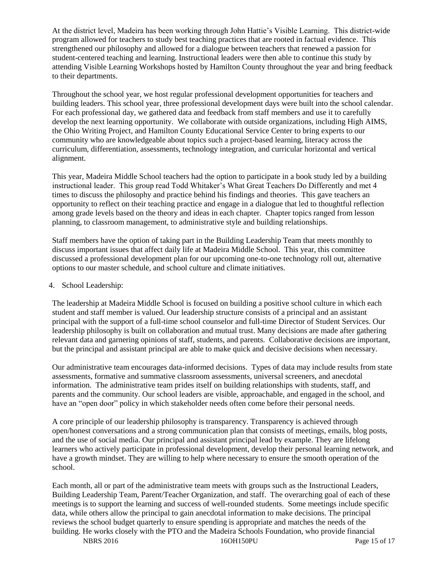At the district level, Madeira has been working through John Hattie's Visible Learning. This district-wide program allowed for teachers to study best teaching practices that are rooted in factual evidence. This strengthened our philosophy and allowed for a dialogue between teachers that renewed a passion for student-centered teaching and learning. Instructional leaders were then able to continue this study by attending Visible Learning Workshops hosted by Hamilton County throughout the year and bring feedback to their departments.

Throughout the school year, we host regular professional development opportunities for teachers and building leaders. This school year, three professional development days were built into the school calendar. For each professional day, we gathered data and feedback from staff members and use it to carefully develop the next learning opportunity. We collaborate with outside organizations, including High AIMS, the Ohio Writing Project, and Hamilton County Educational Service Center to bring experts to our community who are knowledgeable about topics such a project-based learning, literacy across the curriculum, differentiation, assessments, technology integration, and curricular horizontal and vertical alignment.

This year, Madeira Middle School teachers had the option to participate in a book study led by a building instructional leader. This group read Todd Whitaker's What Great Teachers Do Differently and met 4 times to discuss the philosophy and practice behind his findings and theories. This gave teachers an opportunity to reflect on their teaching practice and engage in a dialogue that led to thoughtful reflection among grade levels based on the theory and ideas in each chapter. Chapter topics ranged from lesson planning, to classroom management, to administrative style and building relationships.

Staff members have the option of taking part in the Building Leadership Team that meets monthly to discuss important issues that affect daily life at Madeira Middle School. This year, this committee discussed a professional development plan for our upcoming one-to-one technology roll out, alternative options to our master schedule, and school culture and climate initiatives.

# 4. School Leadership:

The leadership at Madeira Middle School is focused on building a positive school culture in which each student and staff member is valued. Our leadership structure consists of a principal and an assistant principal with the support of a full-time school counselor and full-time Director of Student Services. Our leadership philosophy is built on collaboration and mutual trust. Many decisions are made after gathering relevant data and garnering opinions of staff, students, and parents. Collaborative decisions are important, but the principal and assistant principal are able to make quick and decisive decisions when necessary.

Our administrative team encourages data-informed decisions. Types of data may include results from state assessments, formative and summative classroom assessments, universal screeners, and anecdotal information. The administrative team prides itself on building relationships with students, staff, and parents and the community. Our school leaders are visible, approachable, and engaged in the school, and have an "open door" policy in which stakeholder needs often come before their personal needs.

A core principle of our leadership philosophy is transparency. Transparency is achieved through open/honest conversations and a strong communication plan that consists of meetings, emails, blog posts, and the use of social media. Our principal and assistant principal lead by example. They are lifelong learners who actively participate in professional development, develop their personal learning network, and have a growth mindset. They are willing to help where necessary to ensure the smooth operation of the school.

Each month, all or part of the administrative team meets with groups such as the Instructional Leaders, Building Leadership Team, Parent/Teacher Organization, and staff. The overarching goal of each of these meetings is to support the learning and success of well-rounded students. Some meetings include specific data, while others allow the principal to gain anecdotal information to make decisions. The principal reviews the school budget quarterly to ensure spending is appropriate and matches the needs of the building. He works closely with the PTO and the Madeira Schools Foundation, who provide financial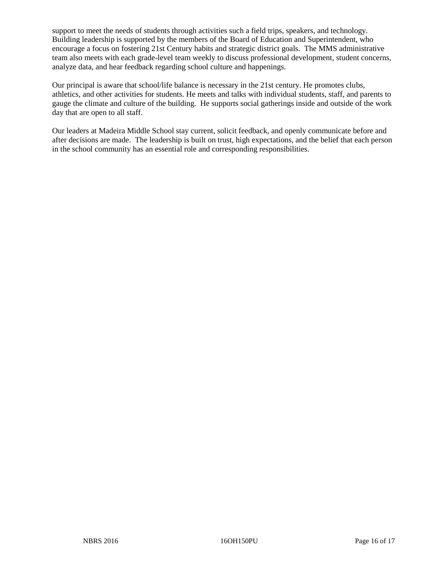support to meet the needs of students through activities such a field trips, speakers, and technology. Building leadership is supported by the members of the Board of Education and Superintendent, who encourage a focus on fostering 21st Century habits and strategic district goals. The MMS administrative team also meets with each grade-level team weekly to discuss professional development, student concerns, analyze data, and hear feedback regarding school culture and happenings.

Our principal is aware that school/life balance is necessary in the 21st century. He promotes clubs, athletics, and other activities for students. He meets and talks with individual students, staff, and parents to gauge the climate and culture of the building. He supports social gatherings inside and outside of the work day that are open to all staff.

Our leaders at Madeira Middle School stay current, solicit feedback, and openly communicate before and after decisions are made. The leadership is built on trust, high expectations, and the belief that each person in the school community has an essential role and corresponding responsibilities.